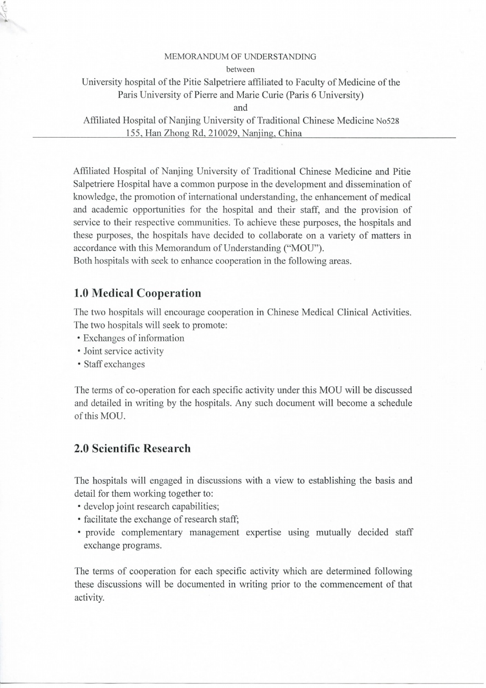## MEMORANDUM OF UNDERSTANDING

between

University hospital of thé Pitié Salpetriere affiliated to Faculty of Medicine of thé Paris University of Pierre and Marie Curie (Paris 6 University)

and

Affiliated Hospital of Nanjing University of Traditional Chinese Medicine No528 155, Han Zhong Rd, 210029, Nanjing, China

Affiliated Hospital of Nanjing University of Traditional Chinese Medicine and Pitié Salpetriere Hospital have a common purpose in the development and dissemination of knowledge, the promotion of international understanding, the enhancement of medical and academic opportunities for the hospital and their staff, and the provision of service to their respective communities. To achieve these purposes, the hospitals and these purposes, the hospitals have decided to collaborate on a variety of matters in accordance with this Mémorandum of Understanding ("MOU").

Both hospitals with seek to enhance cooperation in the following areas.

## **1.0 Médical Coopération**

The two hospitals will encourage cooperation in Chinese Medical Clinical Activities. The two hospitals will seek to promote:

- Exchanges of information
- Joint service activity
- Staff exchanges

The terms of co-operation for each specific activity under this MOU will be discussed and detailed in writing by thé hospitals. Any such document will become a schedule of this MOU.

## **2.0 Scientific Research**

The hospitals will engaged in discussions with a view to establishing thé basis and détail for them working together to:

- develop joint research capabilities;
- facilitate the exchange of research staff;
- provide complementary management expertise using mutually decided staff exchange programs.

The terms of cooperation for each specific activity which are determined following these discussions will be documented in writing prior to the commencement of that activity.